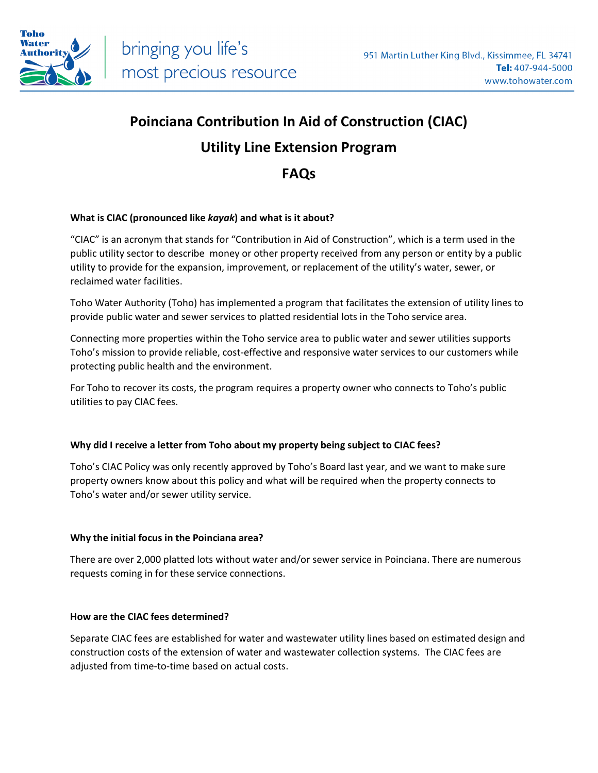

## **Poinciana Contribution In Aid of Construction (CIAC) Utility Line Extension Program**

### **FAQs**

#### **What is CIAC (pronounced like** *kayak***) and what is it about?**

"CIAC" is an acronym that stands for "Contribution in Aid of Construction", which is a term used in the public utility sector to describe money or other property received from any person or entity by a public utility to provide for the expansion, improvement, or replacement of the utility's water, sewer, or reclaimed water facilities.

Toho Water Authority (Toho) has implemented a program that facilitates the extension of utility lines to provide public water and sewer services to platted residential lots in the Toho service area.

Connecting more properties within the Toho service area to public water and sewer utilities supports Toho's mission to provide reliable, cost-effective and responsive water services to our customers while protecting public health and the environment.

For Toho to recover its costs, the program requires a property owner who connects to Toho's public utilities to pay CIAC fees.

#### **Why did I receive a letter from Toho about my property being subject to CIAC fees?**

Toho's CIAC Policy was only recently approved by Toho's Board last year, and we want to make sure property owners know about this policy and what will be required when the property connects to Toho's water and/or sewer utility service.

#### **Why the initial focus in the Poinciana area?**

There are over 2,000 platted lots without water and/or sewer service in Poinciana. There are numerous requests coming in for these service connections.

#### **How are the CIAC fees determined?**

Separate CIAC fees are established for water and wastewater utility lines based on estimated design and construction costs of the extension of water and wastewater collection systems. The CIAC fees are adjusted from time-to-time based on actual costs.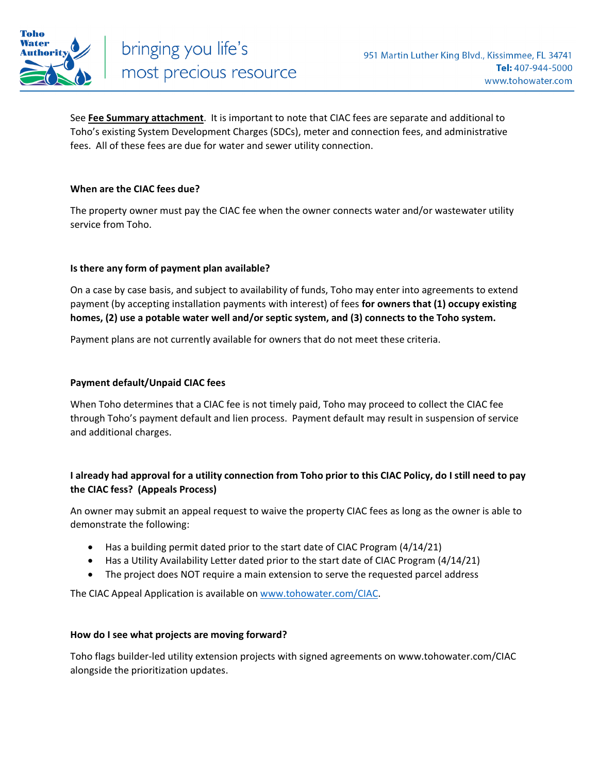

See **Fee Summary attachment**. It is important to note that CIAC fees are separate and additional to Toho's existing System Development Charges (SDCs), meter and connection fees, and administrative fees. All of these fees are due for water and sewer utility connection.

#### **When are the CIAC fees due?**

The property owner must pay the CIAC fee when the owner connects water and/or wastewater utility service from Toho.

#### **Is there any form of payment plan available?**

On a case by case basis, and subject to availability of funds, Toho may enter into agreements to extend payment (by accepting installation payments with interest) of fees **for owners that (1) occupy existing homes, (2) use a potable water well and/or septic system, and (3) connects to the Toho system.**

Payment plans are not currently available for owners that do not meet these criteria.

#### **Payment default/Unpaid CIAC fees**

When Toho determines that a CIAC fee is not timely paid, Toho may proceed to collect the CIAC fee through Toho's payment default and lien process. Payment default may result in suspension of service and additional charges.

#### **I already had approval for a utility connection from Toho prior to this CIAC Policy, do I still need to pay the CIAC fess? (Appeals Process)**

An owner may submit an appeal request to waive the property CIAC fees as long as the owner is able to demonstrate the following:

- Has a building permit dated prior to the start date of CIAC Program (4/14/21)
- Has a Utility Availability Letter dated prior to the start date of CIAC Program (4/14/21)
- The project does NOT require a main extension to serve the requested parcel address

The CIAC Appeal Application is available on [www.tohowater.com/CIAC.](http://www.tohowater.com/CIAC) 

#### **How do I see what projects are moving forward?**

Toho flags builder-led utility extension projects with signed agreements on www.tohowater.com/CIAC alongside the prioritization updates.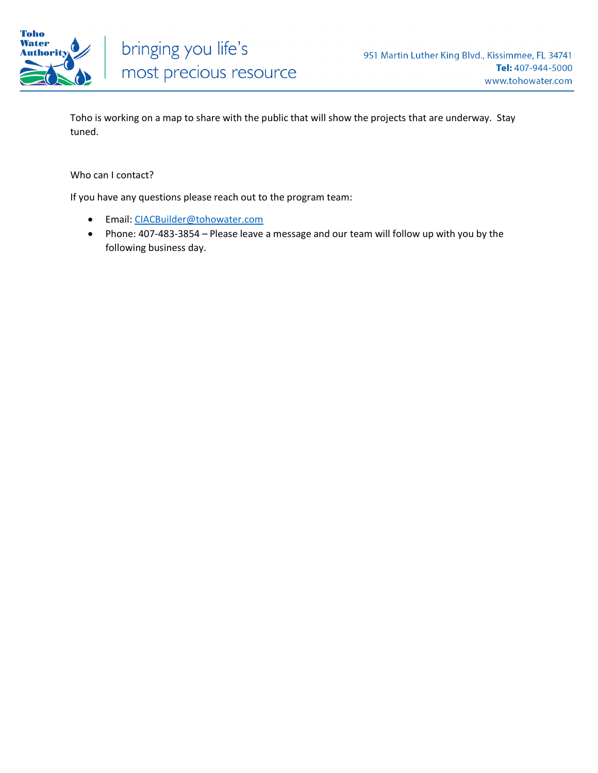

Toho is working on a map to share with the public that will show the projects that are underway. Stay tuned.

#### Who can I contact?

If you have any questions please reach out to the program team:

- Email: [CIACBuilder@tohowater.com](mailto:CIACBuilder@tohowater.com)
- Phone: 407-483-3854 Please leave a message and our team will follow up with you by the following business day.